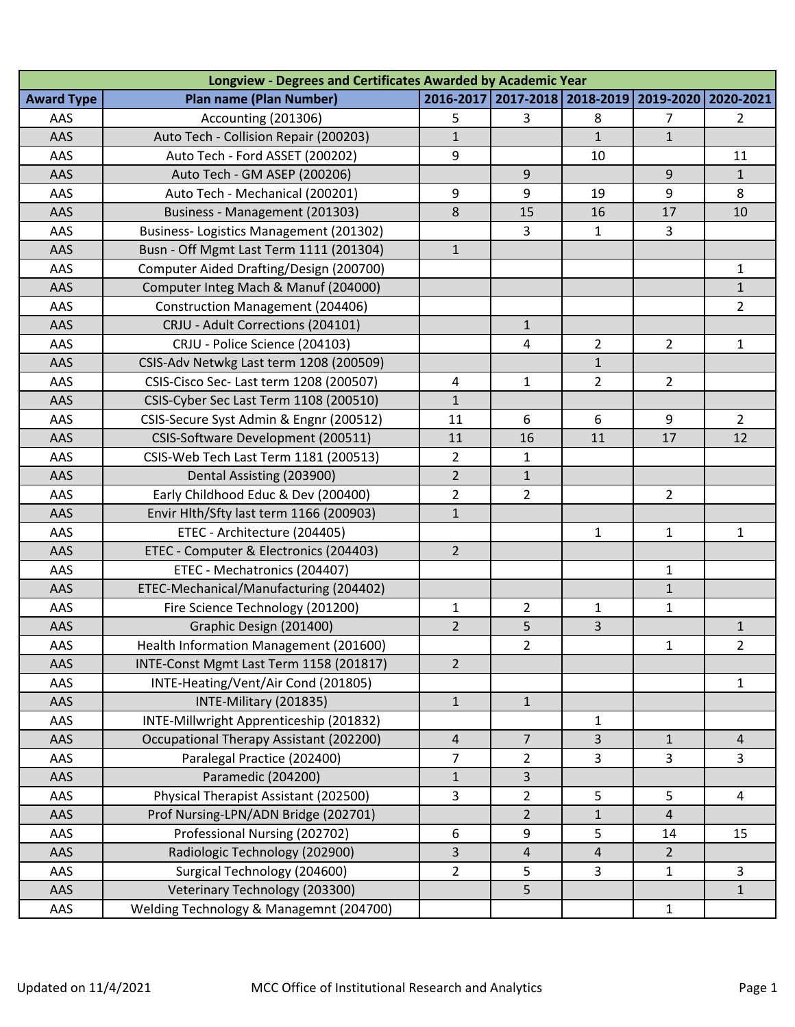| <b>Award Type</b><br>AAS<br>AAS<br>AAS<br>AAS | <b>Plan name (Plan Number)</b><br>Accounting (201306)<br>Auto Tech - Collision Repair (200203)<br>Auto Tech - Ford ASSET (200202) | 5              | 2016-2017 2017-2018 2018-2019<br>3 |                | 2019-2020      | 2020-2021      |
|-----------------------------------------------|-----------------------------------------------------------------------------------------------------------------------------------|----------------|------------------------------------|----------------|----------------|----------------|
|                                               |                                                                                                                                   |                |                                    |                |                |                |
|                                               |                                                                                                                                   |                |                                    | 8              | 7              | $\overline{2}$ |
|                                               |                                                                                                                                   | $\mathbf{1}$   |                                    | $\mathbf{1}$   | $\mathbf{1}$   |                |
|                                               |                                                                                                                                   | 9              |                                    | 10             |                | 11             |
|                                               | Auto Tech - GM ASEP (200206)                                                                                                      |                | 9                                  |                | 9              | $\mathbf{1}$   |
| AAS                                           | Auto Tech - Mechanical (200201)                                                                                                   | 9              | 9                                  | 19             | 9              | 8              |
| AAS                                           | Business - Management (201303)                                                                                                    | 8              | 15                                 | 16             | 17             | 10             |
| AAS                                           | <b>Business-Logistics Management (201302)</b>                                                                                     |                | 3                                  | $\mathbf{1}$   | $\overline{3}$ |                |
| AAS                                           | Busn - Off Mgmt Last Term 1111 (201304)                                                                                           | $\mathbf{1}$   |                                    |                |                |                |
| AAS                                           | Computer Aided Drafting/Design (200700)                                                                                           |                |                                    |                |                | $\mathbf{1}$   |
| AAS                                           | Computer Integ Mach & Manuf (204000)                                                                                              |                |                                    |                |                | $\mathbf{1}$   |
| AAS                                           | Construction Management (204406)                                                                                                  |                |                                    |                |                | $\overline{2}$ |
| AAS                                           | CRJU - Adult Corrections (204101)                                                                                                 |                | $\mathbf{1}$                       |                |                |                |
| AAS                                           | CRJU - Police Science (204103)                                                                                                    |                | 4                                  | $\overline{2}$ | $\overline{2}$ | $\mathbf{1}$   |
| AAS                                           | CSIS-Adv Netwkg Last term 1208 (200509)                                                                                           |                |                                    | $\mathbf{1}$   |                |                |
| AAS                                           | CSIS-Cisco Sec- Last term 1208 (200507)                                                                                           | 4              | $\mathbf{1}$                       | $\overline{2}$ | $\overline{2}$ |                |
| AAS                                           | CSIS-Cyber Sec Last Term 1108 (200510)                                                                                            | $\mathbf{1}$   |                                    |                |                |                |
| AAS                                           | CSIS-Secure Syst Admin & Engnr (200512)                                                                                           | 11             | 6                                  | 6              | 9              | $2^{\circ}$    |
| AAS                                           | CSIS-Software Development (200511)                                                                                                | 11             | 16                                 | 11             | 17             | 12             |
| AAS                                           | CSIS-Web Tech Last Term 1181 (200513)                                                                                             | $\overline{2}$ | $\mathbf{1}$                       |                |                |                |
| AAS                                           | Dental Assisting (203900)                                                                                                         | $\overline{2}$ | $\mathbf 1$                        |                |                |                |
| AAS                                           | Early Childhood Educ & Dev (200400)                                                                                               | $\overline{2}$ | $\overline{2}$                     |                | $\overline{2}$ |                |
| AAS                                           | Envir Hlth/Sfty last term 1166 (200903)                                                                                           | $\mathbf{1}$   |                                    |                |                |                |
| AAS                                           | ETEC - Architecture (204405)                                                                                                      |                |                                    | $\mathbf{1}$   | $\mathbf{1}$   | $\mathbf{1}$   |
| AAS                                           | ETEC - Computer & Electronics (204403)                                                                                            | $\overline{2}$ |                                    |                |                |                |
| AAS                                           | ETEC - Mechatronics (204407)                                                                                                      |                |                                    |                | 1              |                |
| AAS                                           | ETEC-Mechanical/Manufacturing (204402)                                                                                            |                |                                    |                | $\mathbf{1}$   |                |
| AAS                                           | Fire Science Technology (201200)                                                                                                  | 1              | 2                                  | $\mathbf{1}$   | $\mathbf{1}$   |                |
| AAS                                           | Graphic Design (201400)                                                                                                           | $\overline{2}$ | 5                                  | $\overline{3}$ |                | $\mathbf{1}$   |
| AAS                                           | Health Information Management (201600)                                                                                            |                | $\overline{2}$                     |                | 1              | $\overline{2}$ |
| AAS                                           | INTE-Const Mgmt Last Term 1158 (201817)                                                                                           | $\overline{2}$ |                                    |                |                |                |
| AAS                                           | INTE-Heating/Vent/Air Cond (201805)                                                                                               |                |                                    |                |                | $\mathbf{1}$   |
| AAS                                           | INTE-Military (201835)                                                                                                            | $\mathbf{1}$   | $\mathbf{1}$                       |                |                |                |
| AAS                                           | INTE-Millwright Apprenticeship (201832)                                                                                           |                |                                    | $\mathbf{1}$   |                |                |
| AAS                                           | Occupational Therapy Assistant (202200)                                                                                           | $\overline{4}$ | $\overline{7}$                     | $\overline{3}$ | $\mathbf{1}$   | $\overline{4}$ |
| AAS                                           | Paralegal Practice (202400)                                                                                                       | $\overline{7}$ | $\overline{2}$                     | $\overline{3}$ | 3              | $\overline{3}$ |
| AAS                                           | Paramedic (204200)                                                                                                                | $\mathbf 1$    | 3                                  |                |                |                |
| AAS                                           | Physical Therapist Assistant (202500)                                                                                             | 3              | $\overline{2}$                     | 5              | 5              | 4              |
| AAS                                           | Prof Nursing-LPN/ADN Bridge (202701)                                                                                              |                | $\overline{2}$                     | $\mathbf{1}$   | 4              |                |
| AAS                                           | Professional Nursing (202702)                                                                                                     | 6              | $\boldsymbol{9}$                   | 5              | 14             | 15             |
| AAS                                           | Radiologic Technology (202900)                                                                                                    | 3              | $\overline{4}$                     | $\overline{4}$ | $\overline{2}$ |                |
| AAS                                           | Surgical Technology (204600)                                                                                                      | $\overline{2}$ | 5                                  | $\overline{3}$ | $\mathbf{1}$   | $\overline{3}$ |
| AAS                                           | Veterinary Technology (203300)                                                                                                    |                | 5                                  |                |                | $\mathbf{1}$   |
| AAS                                           | Welding Technology & Managemnt (204700)                                                                                           |                |                                    |                | $\mathbf{1}$   |                |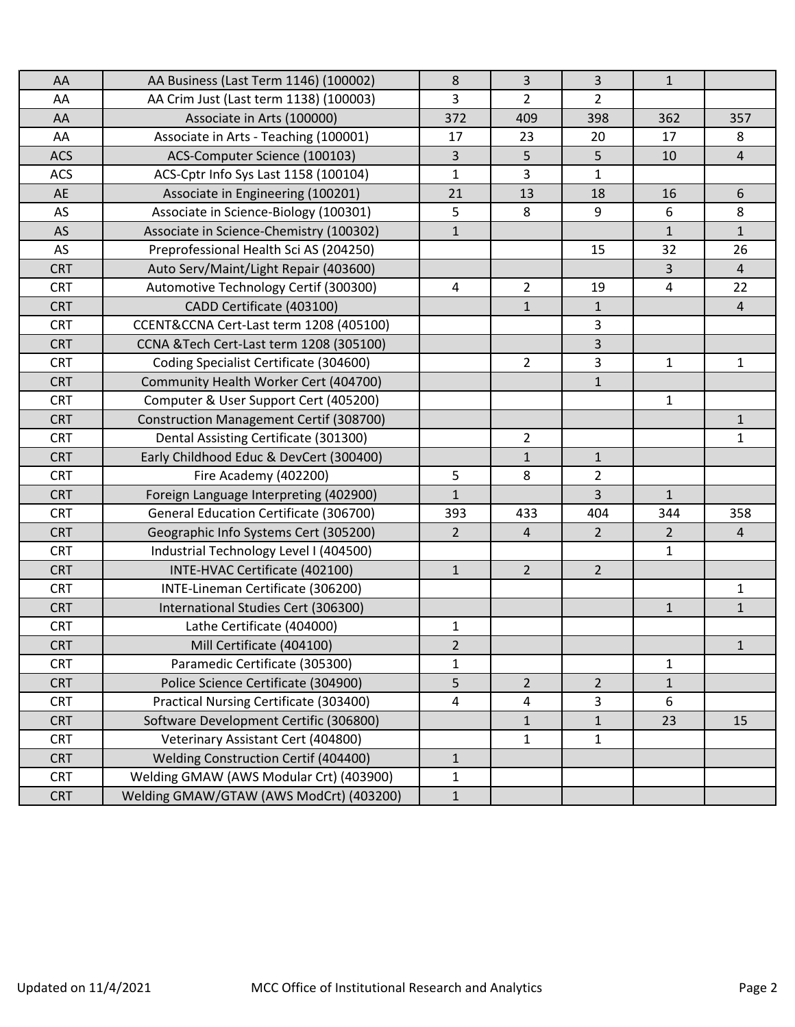| AA         | AA Business (Last Term 1146) (100002)   | 8                       | 3              | 3              | $\mathbf{1}$   |                |
|------------|-----------------------------------------|-------------------------|----------------|----------------|----------------|----------------|
| AA         | AA Crim Just (Last term 1138) (100003)  | 3                       | $\overline{2}$ | $\overline{2}$ |                |                |
| AA         | Associate in Arts (100000)              | 372                     | 409            | 398            | 362            | 357            |
| AA         | Associate in Arts - Teaching (100001)   | 17                      | 23             | 20             | 17             | 8              |
| <b>ACS</b> | ACS-Computer Science (100103)           | 3                       | 5              | 5              | 10             | 4              |
| <b>ACS</b> | ACS-Cptr Info Sys Last 1158 (100104)    | $\mathbf{1}$            | 3              | $\mathbf{1}$   |                |                |
| AE         | Associate in Engineering (100201)       | 21                      | 13             | 18             | 16             | 6              |
| AS         | Associate in Science-Biology (100301)   | 5                       | 8              | 9              | 6              | 8              |
| AS         | Associate in Science-Chemistry (100302) | $\mathbf{1}$            |                |                | $\mathbf{1}$   | $\mathbf{1}$   |
| AS         | Preprofessional Health Sci AS (204250)  |                         |                | 15             | 32             | 26             |
| <b>CRT</b> | Auto Serv/Maint/Light Repair (403600)   |                         |                |                | 3              | $\overline{4}$ |
| <b>CRT</b> | Automotive Technology Certif (300300)   | 4                       | $\overline{2}$ | 19             | $\overline{4}$ | 22             |
| <b>CRT</b> | CADD Certificate (403100)               |                         | $\mathbf{1}$   | $\mathbf{1}$   |                | $\overline{4}$ |
| <b>CRT</b> | CCENT&CCNA Cert-Last term 1208 (405100) |                         |                | 3              |                |                |
| <b>CRT</b> | CCNA &Tech Cert-Last term 1208 (305100) |                         |                | 3              |                |                |
| <b>CRT</b> | Coding Specialist Certificate (304600)  |                         | $\overline{2}$ | 3              | $\mathbf{1}$   | $\mathbf{1}$   |
| <b>CRT</b> | Community Health Worker Cert (404700)   |                         |                | $\mathbf{1}$   |                |                |
| <b>CRT</b> | Computer & User Support Cert (405200)   |                         |                |                | $\mathbf{1}$   |                |
| <b>CRT</b> | Construction Management Certif (308700) |                         |                |                |                | $\mathbf{1}$   |
| <b>CRT</b> | Dental Assisting Certificate (301300)   |                         | $\overline{2}$ |                |                | $\mathbf{1}$   |
| <b>CRT</b> | Early Childhood Educ & DevCert (300400) |                         | $\mathbf{1}$   | $\mathbf{1}$   |                |                |
| <b>CRT</b> | Fire Academy (402200)                   | 5                       | 8              | $\overline{2}$ |                |                |
| <b>CRT</b> | Foreign Language Interpreting (402900)  | $\mathbf{1}$            |                | $\overline{3}$ | $\mathbf{1}$   |                |
| <b>CRT</b> | General Education Certificate (306700)  | 393                     | 433            | 404            | 344            | 358            |
| <b>CRT</b> | Geographic Info Systems Cert (305200)   | $\overline{2}$          | $\overline{4}$ | $\overline{2}$ | $\overline{2}$ | $\overline{4}$ |
| <b>CRT</b> | Industrial Technology Level I (404500)  |                         |                |                | 1              |                |
| <b>CRT</b> | INTE-HVAC Certificate (402100)          | $\mathbf{1}$            | $2^{\circ}$    | $2^{\circ}$    |                |                |
| <b>CRT</b> | INTE-Lineman Certificate (306200)       |                         |                |                |                | $\mathbf{1}$   |
| <b>CRT</b> | International Studies Cert (306300)     |                         |                |                | $\mathbf{1}$   | $\mathbf{1}$   |
| <b>CRT</b> | Lathe Certificate (404000)              | 1                       |                |                |                |                |
| <b>CRT</b> | Mill Certificate (404100)               | $\overline{2}$          |                |                |                | $\mathbf{1}$   |
| <b>CRT</b> | Paramedic Certificate (305300)          | $\mathbf 1$             |                |                | $\mathbf{1}$   |                |
| <b>CRT</b> | Police Science Certificate (304900)     | 5                       | $\overline{2}$ | $\overline{2}$ | $\mathbf{1}$   |                |
| <b>CRT</b> | Practical Nursing Certificate (303400)  | $\overline{\mathbf{4}}$ | $\overline{a}$ | 3              | 6              |                |
| <b>CRT</b> | Software Development Certific (306800)  |                         | $\mathbf{1}$   | $\mathbf{1}$   | 23             | 15             |
| <b>CRT</b> | Veterinary Assistant Cert (404800)      |                         | 1              | 1              |                |                |
| <b>CRT</b> | Welding Construction Certif (404400)    | $\mathbf{1}$            |                |                |                |                |
| <b>CRT</b> | Welding GMAW (AWS Modular Crt) (403900) | $\mathbf 1$             |                |                |                |                |
| <b>CRT</b> | Welding GMAW/GTAW (AWS ModCrt) (403200) | $\mathbf{1}$            |                |                |                |                |